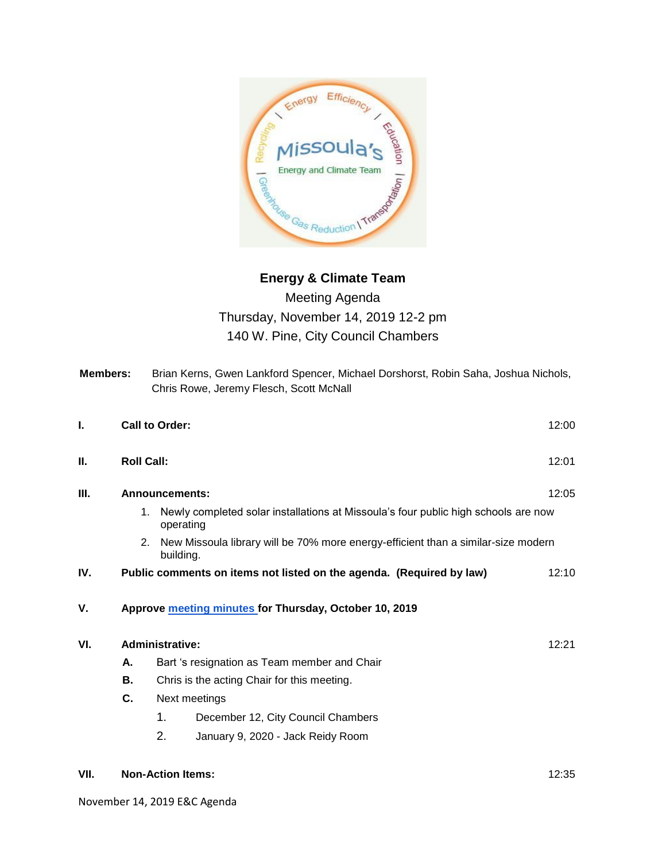

## Meeting Agenda Thursday, November 14, 2019 12-2 pm 140 W. Pine, City Council Chambers

**Members:** Brian Kerns, Gwen Lankford Spencer, Michael Dorshorst, Robin Saha, Joshua Nichols,

|      |                        |                                                                                                       | Chris Rowe, Jeremy Flesch, Scott McNall                              |       |
|------|------------------------|-------------------------------------------------------------------------------------------------------|----------------------------------------------------------------------|-------|
| ı.   |                        | Call to Order:                                                                                        |                                                                      |       |
| Ш.   |                        | <b>Roll Call:</b>                                                                                     |                                                                      |       |
| Ш.   | <b>Announcements:</b>  |                                                                                                       |                                                                      | 12:05 |
|      |                        | Newly completed solar installations at Missoula's four public high schools are now<br>1.<br>operating |                                                                      |       |
|      |                        | New Missoula library will be 70% more energy-efficient than a similar-size modern<br>2.<br>building.  |                                                                      |       |
| IV.  |                        |                                                                                                       | Public comments on items not listed on the agenda. (Required by law) | 12:10 |
| ۷.   |                        |                                                                                                       | Approve meeting minutes for Thursday, October 10, 2019               |       |
| VI.  | <b>Administrative:</b> |                                                                                                       |                                                                      | 12:21 |
|      | А.                     | Bart 's resignation as Team member and Chair                                                          |                                                                      |       |
|      | В.                     | Chris is the acting Chair for this meeting.                                                           |                                                                      |       |
|      | C.                     | Next meetings                                                                                         |                                                                      |       |
|      |                        | 1.                                                                                                    | December 12, City Council Chambers                                   |       |
|      |                        | 2.                                                                                                    | January 9, 2020 - Jack Reidy Room                                    |       |
| VII. |                        | <b>Non-Action Items:</b>                                                                              |                                                                      |       |

November 14, 2019 E&C Agenda